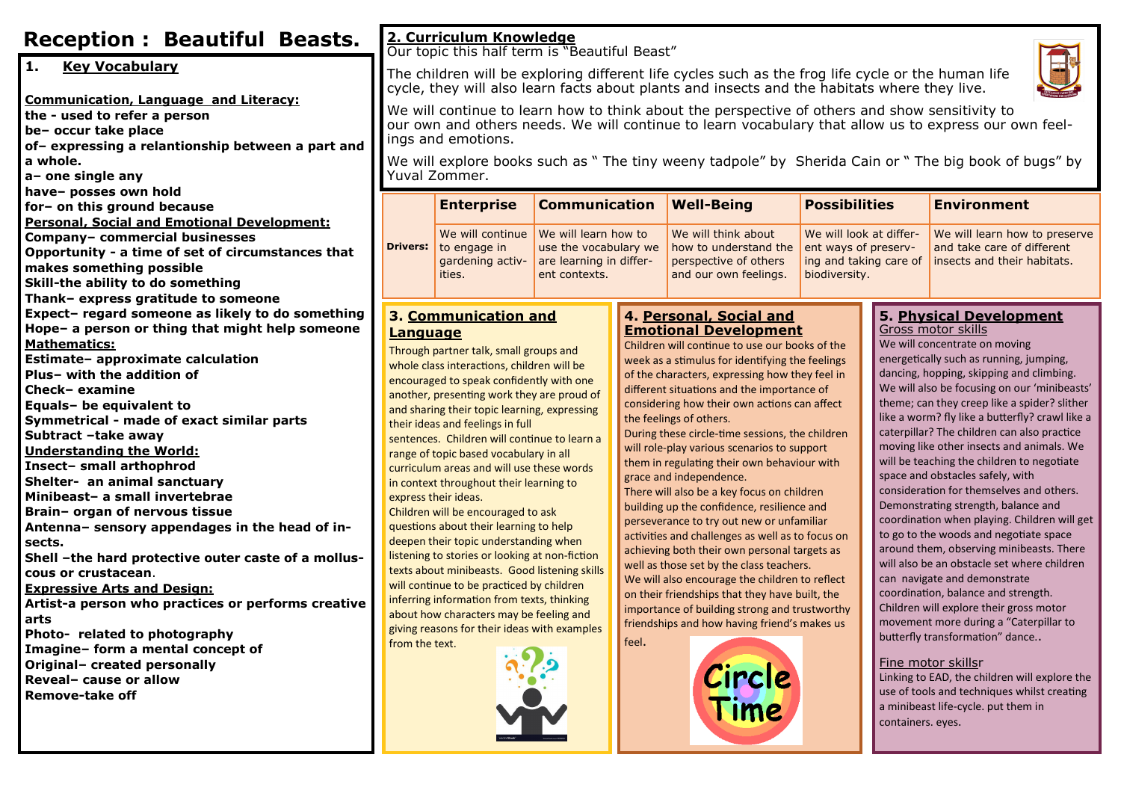| <b>Reception: Beautiful Beasts.</b>                                      |                                                                                                                                                                                                                                                                                                                                                                                                                                                                                                                                                                                                                                                                                                                                                                                                                                                                                                                                                         | 2. Curriculum Knowledge<br>Our topic this half term is "Beautiful Beast"                 |                                                                   |                              |                                                                         |                                                                 |                    |                                                                                            |  |
|--------------------------------------------------------------------------|---------------------------------------------------------------------------------------------------------------------------------------------------------------------------------------------------------------------------------------------------------------------------------------------------------------------------------------------------------------------------------------------------------------------------------------------------------------------------------------------------------------------------------------------------------------------------------------------------------------------------------------------------------------------------------------------------------------------------------------------------------------------------------------------------------------------------------------------------------------------------------------------------------------------------------------------------------|------------------------------------------------------------------------------------------|-------------------------------------------------------------------|------------------------------|-------------------------------------------------------------------------|-----------------------------------------------------------------|--------------------|--------------------------------------------------------------------------------------------|--|
| 11.<br><b>Key Vocabulary</b>                                             | The children will be exploring different life cycles such as the frog life cycle or the human life                                                                                                                                                                                                                                                                                                                                                                                                                                                                                                                                                                                                                                                                                                                                                                                                                                                      |                                                                                          |                                                                   |                              |                                                                         |                                                                 |                    |                                                                                            |  |
|                                                                          | cycle, they will also learn facts about plants and insects and the habitats where they live.                                                                                                                                                                                                                                                                                                                                                                                                                                                                                                                                                                                                                                                                                                                                                                                                                                                            |                                                                                          |                                                                   |                              |                                                                         |                                                                 |                    |                                                                                            |  |
| Communication, Language and Literacy:                                    | We will continue to learn how to think about the perspective of others and show sensitivity to                                                                                                                                                                                                                                                                                                                                                                                                                                                                                                                                                                                                                                                                                                                                                                                                                                                          |                                                                                          |                                                                   |                              |                                                                         |                                                                 |                    |                                                                                            |  |
| the - used to refer a person                                             | our own and others needs. We will continue to learn vocabulary that allow us to express our own feel-                                                                                                                                                                                                                                                                                                                                                                                                                                                                                                                                                                                                                                                                                                                                                                                                                                                   |                                                                                          |                                                                   |                              |                                                                         |                                                                 |                    |                                                                                            |  |
| be- occur take place<br>of-expressing a relantionship between a part and | ings and emotions.                                                                                                                                                                                                                                                                                                                                                                                                                                                                                                                                                                                                                                                                                                                                                                                                                                                                                                                                      |                                                                                          |                                                                   |                              |                                                                         |                                                                 |                    |                                                                                            |  |
| a whole.                                                                 | We will explore books such as " The tiny weeny tadpole" by Sherida Cain or " The big book of bugs" by                                                                                                                                                                                                                                                                                                                                                                                                                                                                                                                                                                                                                                                                                                                                                                                                                                                   |                                                                                          |                                                                   |                              |                                                                         |                                                                 |                    |                                                                                            |  |
| a- one single any                                                        | Yuval Zommer.                                                                                                                                                                                                                                                                                                                                                                                                                                                                                                                                                                                                                                                                                                                                                                                                                                                                                                                                           |                                                                                          |                                                                   |                              |                                                                         |                                                                 |                    |                                                                                            |  |
| have- posses own hold                                                    |                                                                                                                                                                                                                                                                                                                                                                                                                                                                                                                                                                                                                                                                                                                                                                                                                                                                                                                                                         |                                                                                          |                                                                   |                              |                                                                         |                                                                 |                    |                                                                                            |  |
| for- on this ground because                                              | <b>Drivers:</b>                                                                                                                                                                                                                                                                                                                                                                                                                                                                                                                                                                                                                                                                                                                                                                                                                                                                                                                                         | <b>Communication</b><br><b>Enterprise</b>                                                |                                                                   | <b>Well-Being</b>            |                                                                         | <b>Possibilities</b>                                            |                    | <b>Environment</b>                                                                         |  |
| <b>Personal, Social and Emotional Development:</b>                       |                                                                                                                                                                                                                                                                                                                                                                                                                                                                                                                                                                                                                                                                                                                                                                                                                                                                                                                                                         |                                                                                          |                                                                   |                              |                                                                         |                                                                 |                    |                                                                                            |  |
| Company- commercial businesses                                           |                                                                                                                                                                                                                                                                                                                                                                                                                                                                                                                                                                                                                                                                                                                                                                                                                                                                                                                                                         | We will continue                                                                         | We will learn how to                                              |                              | We will think about                                                     | We will look at differ-                                         |                    | We will learn how to preserve<br>and take care of different<br>insects and their habitats. |  |
| Opportunity - a time of set of circumstances that                        |                                                                                                                                                                                                                                                                                                                                                                                                                                                                                                                                                                                                                                                                                                                                                                                                                                                                                                                                                         | $\vert$ to engage in                                                                     | use the vocabulary we<br>are learning in differ-<br>ent contexts. |                              | how to understand the<br>perspective of others<br>and our own feelings. | ent ways of preserv-<br>ing and taking care of<br>biodiversity. |                    |                                                                                            |  |
| makes something possible                                                 |                                                                                                                                                                                                                                                                                                                                                                                                                                                                                                                                                                                                                                                                                                                                                                                                                                                                                                                                                         | gardening activ-<br>ities.                                                               |                                                                   |                              |                                                                         |                                                                 |                    |                                                                                            |  |
| Skill-the ability to do something                                        |                                                                                                                                                                                                                                                                                                                                                                                                                                                                                                                                                                                                                                                                                                                                                                                                                                                                                                                                                         |                                                                                          |                                                                   |                              |                                                                         |                                                                 |                    |                                                                                            |  |
| Thank- express gratitude to someone                                      |                                                                                                                                                                                                                                                                                                                                                                                                                                                                                                                                                                                                                                                                                                                                                                                                                                                                                                                                                         |                                                                                          |                                                                   |                              |                                                                         |                                                                 |                    |                                                                                            |  |
| Expect- regard someone as likely to do something                         | 4. Personal, Social and<br>5. Physical Development<br>3. Communication and                                                                                                                                                                                                                                                                                                                                                                                                                                                                                                                                                                                                                                                                                                                                                                                                                                                                              |                                                                                          |                                                                   |                              |                                                                         |                                                                 |                    |                                                                                            |  |
| Hope- a person or thing that might help someone                          | Language                                                                                                                                                                                                                                                                                                                                                                                                                                                                                                                                                                                                                                                                                                                                                                                                                                                                                                                                                |                                                                                          |                                                                   | <b>Emotional Development</b> |                                                                         |                                                                 | Gross motor skills |                                                                                            |  |
| <b>Mathematics:</b>                                                      |                                                                                                                                                                                                                                                                                                                                                                                                                                                                                                                                                                                                                                                                                                                                                                                                                                                                                                                                                         | Children will continue to use our books of the<br>Through partner talk, small groups and |                                                                   |                              |                                                                         |                                                                 |                    | We will concentrate on moving                                                              |  |
| Estimate- approximate calculation                                        | energetically such as running, jumping,<br>week as a stimulus for identifying the feelings<br>whole class interactions, children will be<br>dancing, hopping, skipping and climbing.<br>of the characters, expressing how they feel in<br>encouraged to speak confidently with one<br>We will also be focusing on our 'minibeasts'<br>different situations and the importance of                                                                                                                                                                                                                                                                                                                                                                                                                                                                                                                                                                        |                                                                                          |                                                                   |                              |                                                                         |                                                                 |                    |                                                                                            |  |
| Plus- with the addition of<br><b>Check- examine</b>                      |                                                                                                                                                                                                                                                                                                                                                                                                                                                                                                                                                                                                                                                                                                                                                                                                                                                                                                                                                         |                                                                                          |                                                                   |                              |                                                                         |                                                                 |                    |                                                                                            |  |
| Equals- be equivalent to                                                 | another, presenting work they are proud of<br>theme; can they creep like a spider? slither<br>considering how their own actions can affect                                                                                                                                                                                                                                                                                                                                                                                                                                                                                                                                                                                                                                                                                                                                                                                                              |                                                                                          |                                                                   |                              |                                                                         |                                                                 |                    |                                                                                            |  |
| Symmetrical - made of exact similar parts                                | and sharing their topic learning, expressing<br>like a worm? fly like a butterfly? crawl like a<br>the feelings of others.<br>their ideas and feelings in full<br>caterpillar? The children can also practice<br>During these circle-time sessions, the children<br>sentences. Children will continue to learn a<br>moving like other insects and animals. We<br>will role-play various scenarios to support<br>range of topic based vocabulary in all<br>will be teaching the children to negotiate<br>them in regulating their own behaviour with<br>curriculum areas and will use these words<br>space and obstacles safely, with<br>grace and independence.<br>in context throughout their learning to<br>consideration for themselves and others.<br>There will also be a key focus on children<br>express their ideas.<br>Demonstrating strength, balance and<br>building up the confidence, resilience and<br>Children will be encouraged to ask |                                                                                          |                                                                   |                              |                                                                         |                                                                 |                    |                                                                                            |  |
| Subtract -take away                                                      |                                                                                                                                                                                                                                                                                                                                                                                                                                                                                                                                                                                                                                                                                                                                                                                                                                                                                                                                                         |                                                                                          |                                                                   |                              |                                                                         |                                                                 |                    |                                                                                            |  |
| Understanding the World:                                                 |                                                                                                                                                                                                                                                                                                                                                                                                                                                                                                                                                                                                                                                                                                                                                                                                                                                                                                                                                         |                                                                                          |                                                                   |                              |                                                                         |                                                                 |                    |                                                                                            |  |
| Insect- small arthophrod                                                 |                                                                                                                                                                                                                                                                                                                                                                                                                                                                                                                                                                                                                                                                                                                                                                                                                                                                                                                                                         |                                                                                          |                                                                   |                              |                                                                         |                                                                 |                    |                                                                                            |  |
| Shelter- an animal sanctuary                                             |                                                                                                                                                                                                                                                                                                                                                                                                                                                                                                                                                                                                                                                                                                                                                                                                                                                                                                                                                         |                                                                                          |                                                                   |                              |                                                                         |                                                                 |                    |                                                                                            |  |
| Minibeast- a small invertebrae                                           |                                                                                                                                                                                                                                                                                                                                                                                                                                                                                                                                                                                                                                                                                                                                                                                                                                                                                                                                                         |                                                                                          |                                                                   |                              |                                                                         |                                                                 |                    |                                                                                            |  |
| Brain- organ of nervous tissue                                           |                                                                                                                                                                                                                                                                                                                                                                                                                                                                                                                                                                                                                                                                                                                                                                                                                                                                                                                                                         |                                                                                          |                                                                   |                              |                                                                         |                                                                 |                    |                                                                                            |  |
| Antenna- sensory appendages in the head of in-                           | coordination when playing. Children will get<br>perseverance to try out new or unfamiliar<br>questions about their learning to help                                                                                                                                                                                                                                                                                                                                                                                                                                                                                                                                                                                                                                                                                                                                                                                                                     |                                                                                          |                                                                   |                              |                                                                         |                                                                 |                    |                                                                                            |  |
| sects.                                                                   | to go to the woods and negotiate space<br>activities and challenges as well as to focus on<br>deepen their topic understanding when<br>around them, observing minibeasts. There                                                                                                                                                                                                                                                                                                                                                                                                                                                                                                                                                                                                                                                                                                                                                                         |                                                                                          |                                                                   |                              |                                                                         |                                                                 |                    |                                                                                            |  |
| Shell -the hard protective outer caste of a mollus-                      | achieving both their own personal targets as<br>listening to stories or looking at non-fiction<br>will also be an obstacle set where children<br>well as those set by the class teachers.                                                                                                                                                                                                                                                                                                                                                                                                                                                                                                                                                                                                                                                                                                                                                               |                                                                                          |                                                                   |                              |                                                                         |                                                                 |                    |                                                                                            |  |
| l cous or crustacean.                                                    | texts about minibeasts. Good listening skills<br>can navigate and demonstrate<br>We will also encourage the children to reflect<br>will continue to be practiced by children<br>coordination, balance and strength.<br>on their friendships that they have built, the<br>inferring information from texts, thinking<br>Children will explore their gross motor<br>importance of building strong and trustworthy<br>about how characters may be feeling and<br>movement more during a "Caterpillar to<br>friendships and how having friend's makes us<br>giving reasons for their ideas with examples                                                                                                                                                                                                                                                                                                                                                    |                                                                                          |                                                                   |                              |                                                                         |                                                                 |                    |                                                                                            |  |
| <b>Expressive Arts and Design:</b>                                       |                                                                                                                                                                                                                                                                                                                                                                                                                                                                                                                                                                                                                                                                                                                                                                                                                                                                                                                                                         |                                                                                          |                                                                   |                              |                                                                         |                                                                 |                    |                                                                                            |  |
| Artist-a person who practices or performs creative                       |                                                                                                                                                                                                                                                                                                                                                                                                                                                                                                                                                                                                                                                                                                                                                                                                                                                                                                                                                         |                                                                                          |                                                                   |                              |                                                                         |                                                                 |                    |                                                                                            |  |
| arts                                                                     |                                                                                                                                                                                                                                                                                                                                                                                                                                                                                                                                                                                                                                                                                                                                                                                                                                                                                                                                                         |                                                                                          |                                                                   |                              |                                                                         |                                                                 |                    |                                                                                            |  |
| Photo- related to photography                                            | from the text.                                                                                                                                                                                                                                                                                                                                                                                                                                                                                                                                                                                                                                                                                                                                                                                                                                                                                                                                          |                                                                                          |                                                                   | feel.                        |                                                                         |                                                                 |                    | butterfly transformation" dance                                                            |  |
| Imagine- form a mental concept of                                        |                                                                                                                                                                                                                                                                                                                                                                                                                                                                                                                                                                                                                                                                                                                                                                                                                                                                                                                                                         |                                                                                          |                                                                   |                              |                                                                         |                                                                 |                    |                                                                                            |  |
| Original- created personally<br><b>Reveal- cause or allow</b>            |                                                                                                                                                                                                                                                                                                                                                                                                                                                                                                                                                                                                                                                                                                                                                                                                                                                                                                                                                         | Fine motor skillsr<br>Circle                                                             |                                                                   |                              |                                                                         |                                                                 |                    | Linking to EAD, the children will explore the                                              |  |
| <b>Remove-take off</b>                                                   | use of tools and techniques whilst creating                                                                                                                                                                                                                                                                                                                                                                                                                                                                                                                                                                                                                                                                                                                                                                                                                                                                                                             |                                                                                          |                                                                   |                              |                                                                         |                                                                 |                    |                                                                                            |  |
|                                                                          | Time<br>a minibeast life-cycle. put them in<br>containers. eyes.                                                                                                                                                                                                                                                                                                                                                                                                                                                                                                                                                                                                                                                                                                                                                                                                                                                                                        |                                                                                          |                                                                   |                              |                                                                         |                                                                 |                    |                                                                                            |  |
|                                                                          |                                                                                                                                                                                                                                                                                                                                                                                                                                                                                                                                                                                                                                                                                                                                                                                                                                                                                                                                                         |                                                                                          |                                                                   |                              |                                                                         |                                                                 |                    |                                                                                            |  |
|                                                                          |                                                                                                                                                                                                                                                                                                                                                                                                                                                                                                                                                                                                                                                                                                                                                                                                                                                                                                                                                         |                                                                                          |                                                                   |                              |                                                                         |                                                                 |                    |                                                                                            |  |
|                                                                          |                                                                                                                                                                                                                                                                                                                                                                                                                                                                                                                                                                                                                                                                                                                                                                                                                                                                                                                                                         |                                                                                          |                                                                   |                              |                                                                         |                                                                 |                    |                                                                                            |  |